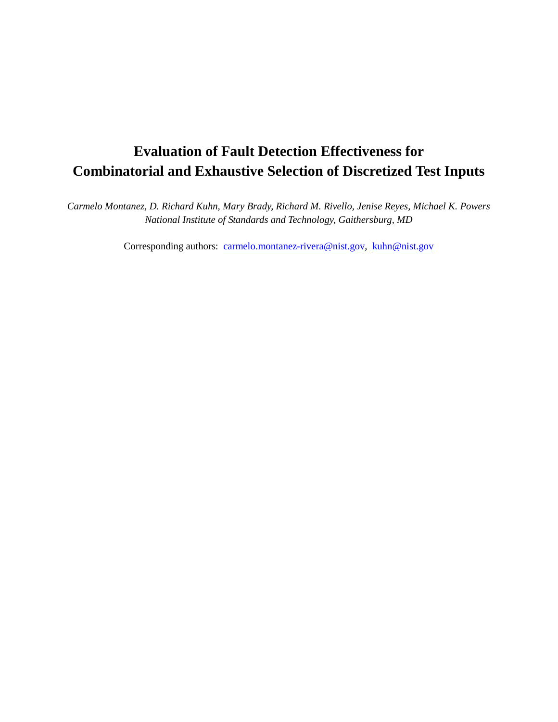# **Evaluation of Fault Detection Effectiveness for Combinatorial and Exhaustive Selection of Discretized Test Inputs**

 *Carmelo Montanez, D. Richard Kuhn, Mary Brady, Richard M. Rivello, Jenise Reyes, Michael K. Powers National Institute of Standards and Technology, Gaithersburg, MD* 

Corresponding authors: carmelo.montanez-rivera@nist.gov, kuhn@nist.gov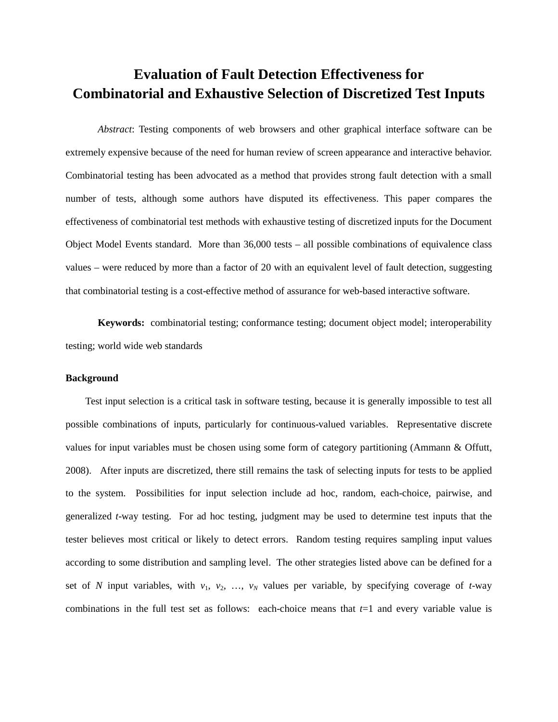# **Evaluation of Fault Detection Effectiveness for Combinatorial and Exhaustive Selection of Discretized Test Inputs**

 *Abstract*: Testing components of web browsers and other graphical interface software can be extremely expensive because of the need for human review of screen appearance and interactive behavior. Combinatorial testing has been advocated as a method that provides strong fault detection with a small number of tests, although some authors have disputed its effectiveness. This paper compares the effectiveness of combinatorial test methods with exhaustive testing of discretized inputs for the Document Object Model Events standard. More than 36,000 tests – all possible combinations of equivalence class values – were reduced by more than a factor of 20 with an equivalent level of fault detection, suggesting that combinatorial testing is a cost-effective method of assurance for web-based interactive software.

 **Keywords:** combinatorial testing; conformance testing; document object model; interoperability testing; world wide web standards

### **Background**

 possible combinations of inputs, particularly for continuous-valued variables. Representative discrete values for input variables must be chosen using some form of category partitioning (Ammann & Offutt, 2008). After inputs are discretized, there still remains the task of selecting inputs for tests to be applied to the system. Possibilities for input selection include ad hoc, random, each-choice, pairwise, and generalized *t*-way testing. For ad hoc testing, judgment may be used to determine test inputs that the tester believes most critical or likely to detect errors. Random testing requires sampling input values according to some distribution and sampling level. The other strategies listed above can be defined for a set of *N* input variables, with  $v_1$ ,  $v_2$ , ...,  $v_N$  values per variable, by specifying coverage of *t*-way combinations in the full test set as follows: each-choice means that *t*=1 and every variable value is Test input selection is a critical task in software testing, because it is generally impossible to test all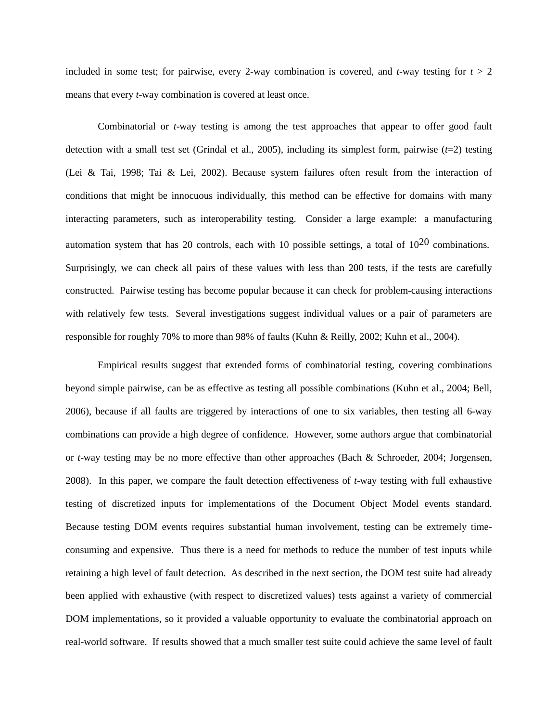included in some test; for pairwise, every 2-way combination is covered, and  $t$ -way testing for  $t > 2$ means that every *t*-way combination is covered at least once.

 Combinatorial or *t*-way testing is among the test approaches that appear to offer good fault detection with a small test set (Grindal et al., 2005), including its simplest form, pairwise (*t*=2) testing (Lei & Tai, 1998; Tai & Lei, 2002). Because system failures often result from the interaction of conditions that might be innocuous individually, this method can be effective for domains with many interacting parameters, such as interoperability testing. Consider a large example: a manufacturing automation system that has 20 controls, each with 10 possible settings, a total of  $10^{20}$  combinations. Surprisingly, we can check all pairs of these values with less than 200 tests, if the tests are carefully constructed. Pairwise testing has become popular because it can check for problem-causing interactions with relatively few tests. Several investigations suggest individual values or a pair of parameters are responsible for roughly 70% to more than 98% of faults (Kuhn & Reilly, 2002; Kuhn et al., 2004).

 Empirical results suggest that extended forms of combinatorial testing, covering combinations beyond simple pairwise, can be as effective as testing all possible combinations (Kuhn et al., 2004; Bell, 2006), because if all faults are triggered by interactions of one to six variables, then testing all 6-way combinations can provide a high degree of confidence. However, some authors argue that combinatorial or *t*-way testing may be no more effective than other approaches (Bach & Schroeder, 2004; Jorgensen, 2008). In this paper, we compare the fault detection effectiveness of *t*-way testing with full exhaustive testing of discretized inputs for implementations of the Document Object Model events standard. Because testing DOM events requires substantial human involvement, testing can be extremely time- consuming and expensive. Thus there is a need for methods to reduce the number of test inputs while retaining a high level of fault detection. As described in the next section, the DOM test suite had already been applied with exhaustive (with respect to discretized values) tests against a variety of commercial DOM implementations, so it provided a valuable opportunity to evaluate the combinatorial approach on real-world software. If results showed that a much smaller test suite could achieve the same level of fault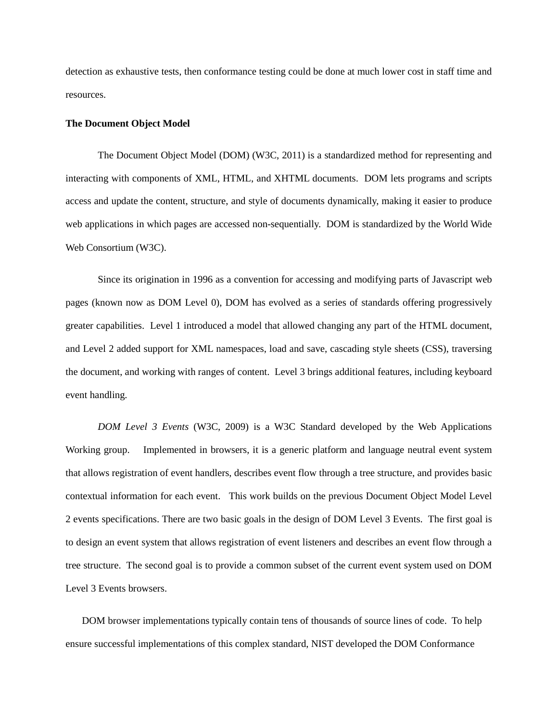detection as exhaustive tests, then conformance testing could be done at much lower cost in staff time and resources.

### **The Document Object Model**

 interacting with components of XML, HTML, and XHTML documents. DOM lets programs and scripts access and update the content, structure, and style of documents dynamically, making it easier to produce web applications in which pages are accessed non-sequentially. DOM is standardized by the World Wide Web Consortium (W3C). The Document Object Model (DOM) (W3C, 2011) is a standardized method for representing and

 Since its origination in 1996 as a convention for accessing and modifying parts of Javascript web pages (known now as DOM Level 0), DOM has evolved as a series of standards offering progressively greater capabilities. Level 1 introduced a model that allowed changing any part of the HTML document, and Level 2 added support for XML namespaces, load and save, cascading style sheets (CSS), traversing the document, and working with ranges of content. Level 3 brings additional features, including keyboard event handling.

 *DOM Level 3 Events* (W3C, 2009) is a W3C Standard developed by the Web Applications Working group. that allows registration of event handlers, describes event flow through a tree structure, and provides basic contextual information for each event. This work builds on the previous Document Object Model Level 2 events specifications. There are two basic goals in the design of DOM Level 3 Events. The first goal is to design an event system that allows registration of event listeners and describes an event flow through a tree structure. The second goal is to provide a common subset of the current event system used on DOM Level 3 Events browsers. Implemented in browsers, it is a generic platform and language neutral event system

 DOM browser implementations typically contain tens of thousands of source lines of code. To help ensure successful implementations of this complex standard, NIST developed the DOM Conformance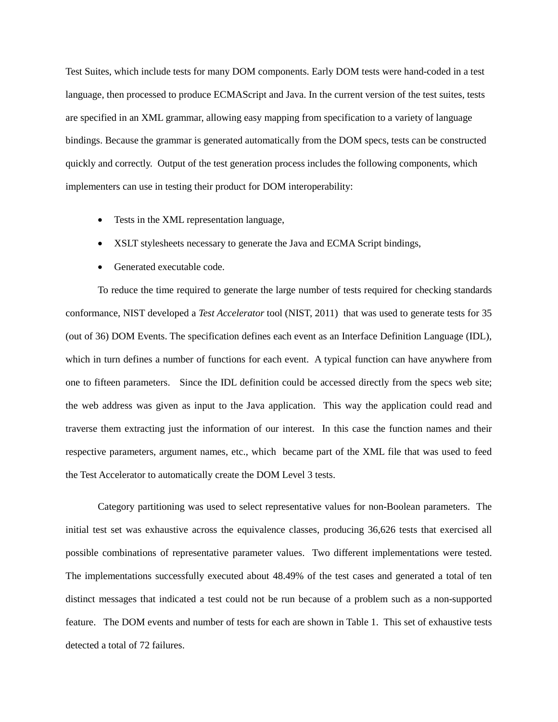Test Suites, which include tests for many DOM components. Early DOM tests were hand-coded in a test language, then processed to produce ECMAScript and Java. In the current version of the test suites, tests are specified in an XML grammar, allowing easy mapping from specification to a variety of language bindings. Because the grammar is generated automatically from the DOM specs, tests can be constructed quickly and correctly. Output of the test generation process includes the following components, which implementers can use in testing their product for DOM interoperability:

- Tests in the XML representation language,
- XSLT stylesheets necessary to generate the Java and ECMA Script bindings,
- Generated executable code.

 To reduce the time required to generate the large number of tests required for checking standards conformance, NIST developed a *Test Accelerator* tool (NIST, 2011) that was used to generate tests for 35 (out of 36) DOM Events. The specification defines each event as an Interface Definition Language (IDL), which in turn defines a number of functions for each event. A typical function can have anywhere from one to fifteen parameters. Since the IDL definition could be accessed directly from the specs web site; the web address was given as input to the Java application. This way the application could read and traverse them extracting just the information of our interest. In this case the function names and their respective parameters, argument names, etc., which became part of the XML file that was used to feed the Test Accelerator to automatically create the DOM Level 3 tests.

 Category partitioning was used to select representative values for non-Boolean parameters. The initial test set was exhaustive across the equivalence classes, producing 36,626 tests that exercised all possible combinations of representative parameter values. Two different implementations were tested. The implementations successfully executed about 48.49% of the test cases and generated a total of ten distinct messages that indicated a test could not be run because of a problem such as a non-supported feature. The DOM events and number of tests for each are shown in Table 1. This set of exhaustive tests detected a total of 72 failures.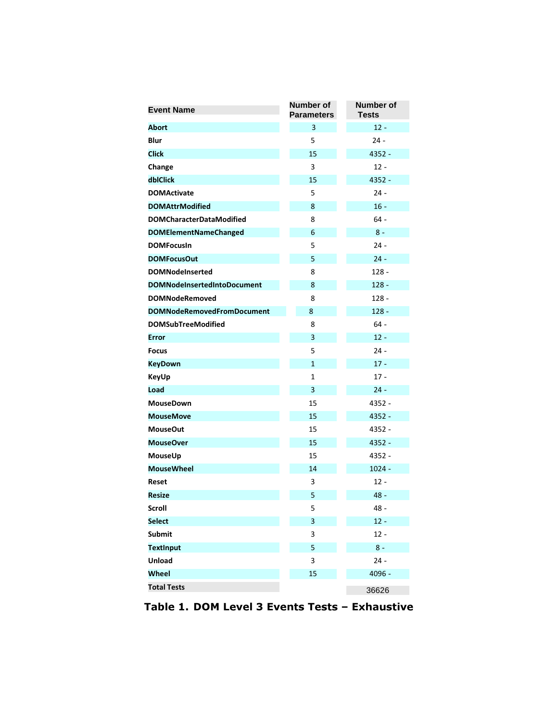| <b>Event Name</b>                  | Number of<br><b>Parameters</b> | <b>Number of</b><br><b>Tests</b> |
|------------------------------------|--------------------------------|----------------------------------|
| <b>Abort</b>                       | 3                              | $12 -$                           |
| <b>Blur</b>                        | 5                              | 24 -                             |
| <b>Click</b>                       | 15                             | 4352 -                           |
| Change                             | 3                              | 12 -                             |
| dblClick                           | 15                             | $4352 -$                         |
| <b>DOMActivate</b>                 | 5                              | $24 -$                           |
| <b>DOMAttrModified</b>             | 8                              | $16 -$                           |
| <b>DOMCharacterDataModified</b>    | 8                              | $64 -$                           |
| <b>DOMElementNameChanged</b>       | 6                              | $8 -$                            |
| <b>DOMFocusin</b>                  | 5                              | $24 -$                           |
| <b>DOMFocusOut</b>                 | 5                              | $24 -$                           |
| <b>DOMNodeInserted</b>             | 8                              | $128 -$                          |
| <b>DOMNodeInsertedIntoDocument</b> | 8                              | $128 -$                          |
| <b>DOMNodeRemoved</b>              | 8                              | 128 -                            |
| <b>DOMNodeRemovedFromDocument</b>  | 8                              | $128 -$                          |
| <b>DOMSubTreeModified</b>          | 8                              | $64 -$                           |
| <b>Error</b>                       | 3                              | $12 -$                           |
| <b>Focus</b>                       | 5                              | $24 -$                           |
| <b>KeyDown</b>                     | $\mathbf{1}$                   | $17 -$                           |
| <b>KeyUp</b>                       | 1                              | $17 -$                           |
| Load                               | 3                              | $24 -$                           |
| <b>MouseDown</b>                   | 15                             | 4352 -                           |
| <b>MouseMove</b>                   | 15                             | 4352 -                           |
| <b>MouseOut</b>                    | 15                             | 4352 -                           |
| <b>MouseOver</b>                   | 15                             | 4352 -                           |
| MouseUp                            | 15                             | 4352 -                           |
| <b>MouseWheel</b>                  | 14                             | $1024 -$                         |
| Reset                              | 3                              | $12 -$                           |
| <b>Resize</b>                      | 5                              | 48 -                             |
| Scroll                             | 5                              | $48 -$                           |
| <b>Select</b>                      | 3                              | $12 -$                           |
| <b>Submit</b>                      | 3                              | $12 -$                           |
| <b>TextInput</b>                   | 5                              | $8 -$                            |
| <b>Unload</b>                      | 3                              | $24 -$                           |
| Wheel                              | 15                             | 4096 -                           |
| <b>Total Tests</b>                 |                                | 36626                            |

Table 1. DOM Level 3 Events Tests – Exhaustive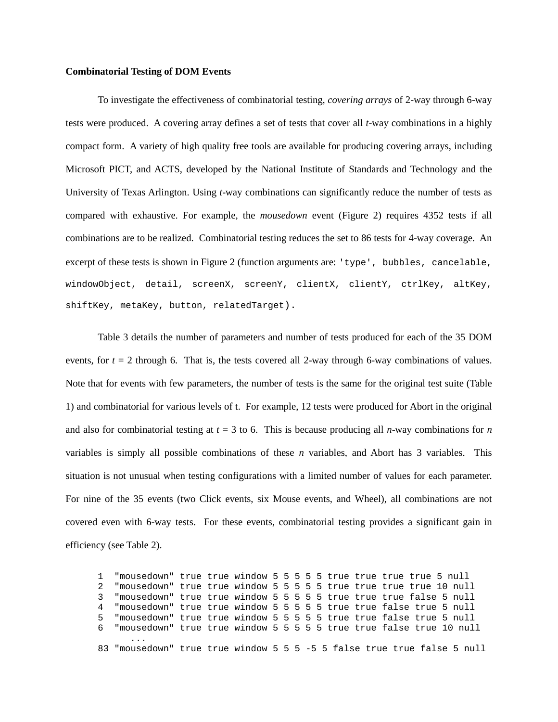#### **Combinatorial Testing of DOM Events**

 To investigate the effectiveness of combinatorial testing, *covering arrays* of 2-way through 6-way tests were produced. A covering array defines a set of tests that cover all *t*-way combinations in a highly compact form. A variety of high quality free tools are available for producing covering arrays, including Microsoft PICT, and ACTS, developed by the National Institute of Standards and Technology and the University of Texas Arlington. Using *t*-way combinations can significantly reduce the number of tests as compared with exhaustive. For example, the *mousedown* event (Figure 2) requires 4352 tests if all combinations are to be realized. Combinatorial testing reduces the set to 86 tests for 4-way coverage. An excerpt of these tests is shown in Figure 2 (function arguments are: 'type', bubbles, cancelable, windowObject, detail, screenX, screenY, clientX, clientY, ctrlKey, altKey, shiftKey, metaKey, button, relatedTarget).

 Table 3 details the number of parameters and number of tests produced for each of the 35 DOM events, for  $t = 2$  through 6. That is, the tests covered all 2-way through 6-way combinations of values. Note that for events with few parameters, the number of tests is the same for the original test suite (Table 1) and combinatorial for various levels of t. For example, 12 tests were produced for Abort in the original and also for combinatorial testing at  $t = 3$  to 6. This is because producing all *n*-way combinations for *n*  variables is simply all possible combinations of these *n* variables, and Abort has 3 variables. This situation is not unusual when testing configurations with a limited number of values for each parameter. For nine of the 35 events (two Click events, six Mouse events, and Wheel), all combinations are not covered even with 6-way tests. For these events, combinatorial testing provides a significant gain in efficiency (see Table 2).

 1 "mousedown" true true window 5 5 5 5 5 true true true true 5 null 2 "mousedown" true true window 5 5 5 5 5 true true true true 10 null 3 "mousedown" true true window 5 5 5 5 5 true true true false 5 null 4 "mousedown" true true window 5 5 5 5 5 true true false true 5 null 5 "mousedown" true true window 5 5 5 5 5 true true false true 5 null 6 "mousedown" true true window 5 5 5 5 5 true true false true 10 null ... 83 "mousedown" true true window 5 5 5 -5 5 false true true false 5 null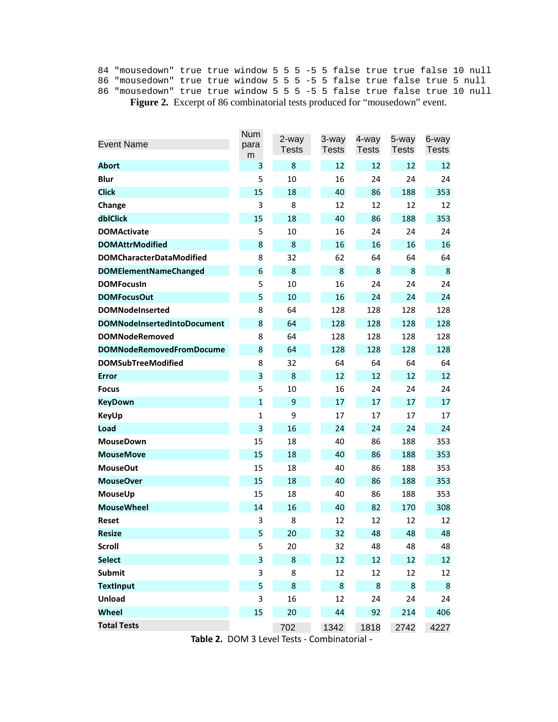**Figure 2.** Excerpt of 86 combinatorial tests produced for "mousedown" event. 84 "mousedown" true true window 5 5 5 -5 5 false true true false 10 null 86 "mousedown" true true window 5 5 5 -5 5 false true false true 5 null 86 "mousedown" true true window 5 5 5 -5 5 false true false true 10 null

| <b>Event Name</b>                  | <b>Num</b><br>para | 2-way<br><b>Tests</b> | 3-way<br><b>Tests</b> | 4-way<br><b>Tests</b> | 5-way<br><b>Tests</b> | 6-way<br><b>Tests</b> |
|------------------------------------|--------------------|-----------------------|-----------------------|-----------------------|-----------------------|-----------------------|
| Abort                              | m<br>3             | 8                     | 12                    | 12                    | 12                    | 12                    |
| <b>Blur</b>                        | 5                  | 10                    | 16                    | 24                    | 24                    | 24                    |
| <b>Click</b>                       | 15                 | 18                    | 40                    | 86                    | 188                   | 353                   |
| Change                             | 3                  | 8                     | 12                    | 12                    | 12                    | 12                    |
| dblClick                           | 15                 | 18                    | 40                    | 86                    | 188                   | 353                   |
| <b>DOMActivate</b>                 | 5                  | 10                    | 16                    | 24                    | 24                    | 24                    |
| <b>DOMAttrModified</b>             | 8                  | 8                     | 16                    | 16                    | 16                    | 16                    |
| <b>DOMCharacterDataModified</b>    | 8                  | 32                    | 62                    | 64                    | 64                    | 64                    |
| <b>DOMElementNameChanged</b>       | 6                  | 8                     | 8                     | 8                     | 8                     | 8                     |
| <b>DOMFocusIn</b>                  | 5                  | 10                    | 16                    | 24                    | 24                    | 24                    |
| <b>DOMFocusOut</b>                 | 5                  | 10                    | 16                    | 24                    | 24                    | 24                    |
| <b>DOMNodeInserted</b>             | 8                  | 64                    | 128                   | 128                   | 128                   | 128                   |
| <b>DOMNodeInsertedIntoDocument</b> | 8                  | 64                    | 128                   | 128                   | 128                   | 128                   |
| <b>DOMNodeRemoved</b>              | 8                  | 64                    | 128                   | 128                   | 128                   | 128                   |
| <b>DOMNodeRemovedFromDocume</b>    | 8                  | 64                    | 128                   | 128                   | 128                   | 128                   |
| <b>DOMSubTreeModified</b>          | 8                  | 32                    | 64                    | 64                    | 64                    | 64                    |
| <b>Error</b>                       | 3                  | 8                     | 12                    | 12                    | 12                    | 12                    |
| <b>Focus</b>                       | 5                  | 10                    | 16                    | 24                    | 24                    | 24                    |
| <b>KeyDown</b>                     | $\mathbf{1}$       | 9                     | 17                    | 17                    | 17                    | 17                    |
| <b>KeyUp</b>                       | $\mathbf{1}$       | 9                     | 17                    | 17                    | 17                    | 17                    |
| Load                               | 3                  | 16                    | 24                    | 24                    | 24                    | 24                    |
| <b>MouseDown</b>                   | 15                 | 18                    | 40                    | 86                    | 188                   | 353                   |
| <b>MouseMove</b>                   | 15                 | 18                    | 40                    | 86                    | 188                   | 353                   |
| <b>MouseOut</b>                    | 15                 | 18                    | 40                    | 86                    | 188                   | 353                   |
| <b>MouseOver</b>                   | 15                 | 18                    | 40                    | 86                    | 188                   | 353                   |
| MouseUp                            | 15                 | 18                    | 40                    | 86                    | 188                   | 353                   |
| <b>MouseWheel</b>                  | 14                 | 16                    | 40                    | 82                    | 170                   | 308                   |
| <b>Reset</b>                       | 3                  | 8                     | 12                    | 12                    | 12                    | 12                    |
| <b>Resize</b>                      | 5                  | 20                    | 32                    | 48                    | 48                    | 48                    |
| <b>Scroll</b>                      | 5                  | 20                    | 32                    | 48                    | 48                    | 48                    |
| <b>Select</b>                      | 3                  | 8                     | 12                    | 12                    | 12                    | 12                    |
| <b>Submit</b>                      | 3                  | 8                     | 12                    | 12                    | 12                    | 12                    |
| <b>TextInput</b>                   | 5                  | 8                     | 8                     | 8                     | 8                     | 8                     |
| <b>Unload</b>                      | 3                  | 16                    | 12                    | 24                    | 24                    | 24                    |
| <b>Wheel</b>                       | 15                 | 20                    | 44                    | 92                    | 214                   | 406                   |
| <b>Total Tests</b>                 |                    | 702                   | 1342                  | 1818                  | 2742                  | 4227                  |

Table 2. DOM 3 Level Tests - Combinatorial -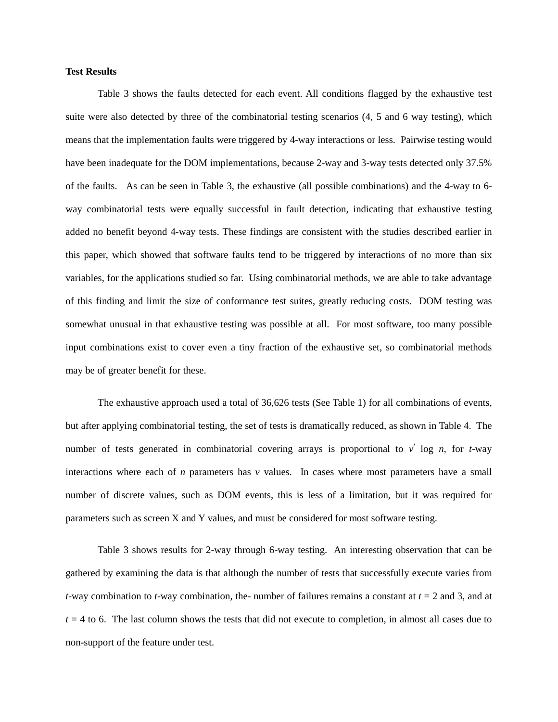### **Test Results**

 Table 3 shows the faults detected for each event. All conditions flagged by the exhaustive test suite were also detected by three of the combinatorial testing scenarios (4, 5 and 6 way testing), which means that the implementation faults were triggered by 4-way interactions or less. Pairwise testing would have been inadequate for the DOM implementations, because 2-way and 3-way tests detected only 37.5% of the faults. As can be seen in Table 3, the exhaustive (all possible combinations) and the 4-way to 6 way combinatorial tests were equally successful in fault detection, indicating that exhaustive testing added no benefit beyond 4-way tests. These findings are consistent with the studies described earlier in this paper, which showed that software faults tend to be triggered by interactions of no more than six variables, for the applications studied so far. Using combinatorial methods, we are able to take advantage of this finding and limit the size of conformance test suites, greatly reducing costs. DOM testing was somewhat unusual in that exhaustive testing was possible at all. For most software, too many possible input combinations exist to cover even a tiny fraction of the exhaustive set, so combinatorial methods may be of greater benefit for these.

 The exhaustive approach used a total of 36,626 tests (See Table 1) for all combinations of events, but after applying combinatorial testing, the set of tests is dramatically reduced, as shown in Table 4. The number of tests generated in combinatorial covering arrays is proportional to  $v^t$  log *n*, for *t*-way interactions where each of *n* parameters has *v* values. In cases where most parameters have a small number of discrete values, such as DOM events, this is less of a limitation, but it was required for parameters such as screen X and Y values, and must be considered for most software testing.

 Table 3 shows results for 2-way through 6-way testing. An interesting observation that can be gathered by examining the data is that although the number of tests that successfully execute varies from *t*-way combination to *t*-way combination, the- number of failures remains a constant at *t* = 2 and 3, and at  $t = 4$  to 6. The last column shows the tests that did not execute to completion, in almost all cases due to non-support of the feature under test.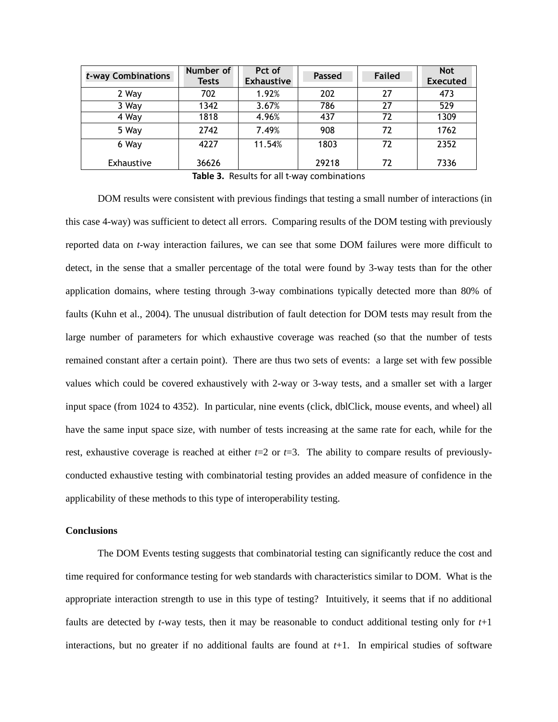| t-way Combinations | Number of<br>Tests | Pct of<br><b>Exhaustive</b> | <b>Passed</b> | <b>Failed</b> | <b>Not</b><br><b>Executed</b> |
|--------------------|--------------------|-----------------------------|---------------|---------------|-------------------------------|
| 2 Way              | 702                | 1.92%                       | 202           | 27            | 473                           |
| 3 Way              | 1342               | 3.67%                       | 786           | 27            | 529                           |
| 4 Way              | 1818               | 4.96%                       | 437           | 72            | 1309                          |
| 5 Way              | 2742               | 7.49%                       | 908           | 72            | 1762                          |
| 6 Way              | 4227               | 11.54%                      | 1803          | 72            | 2352                          |
| Exhaustive         | 36626<br>-         | $\blacksquare$              | 29218<br>.    | 72            | 7336                          |

Table 3. Results for all t-way combinations

 DOM results were consistent with previous findings that testing a small number of interactions (in this case 4-way) was sufficient to detect all errors. Comparing results of the DOM testing with previously reported data on *t*-way interaction failures, we can see that some DOM failures were more difficult to detect, in the sense that a smaller percentage of the total were found by 3-way tests than for the other application domains, where testing through 3-way combinations typically detected more than 80% of faults (Kuhn et al., 2004). The unusual distribution of fault detection for DOM tests may result from the large number of parameters for which exhaustive coverage was reached (so that the number of tests remained constant after a certain point). There are thus two sets of events: a large set with few possible values which could be covered exhaustively with 2-way or 3-way tests, and a smaller set with a larger input space (from 1024 to 4352). In particular, nine events (click, dblClick, mouse events, and wheel) all have the same input space size, with number of tests increasing at the same rate for each, while for the rest, exhaustive coverage is reached at either *t*=2 or *t*=3. The ability to compare results of previously- conducted exhaustive testing with combinatorial testing provides an added measure of confidence in the applicability of these methods to this type of interoperability testing.

### **Conclusions**

 The DOM Events testing suggests that combinatorial testing can significantly reduce the cost and time required for conformance testing for web standards with characteristics similar to DOM. What is the appropriate interaction strength to use in this type of testing? Intuitively, it seems that if no additional faults are detected by *t*-way tests, then it may be reasonable to conduct additional testing only for *t*+1 interactions, but no greater if no additional faults are found at *t*+1. In empirical studies of software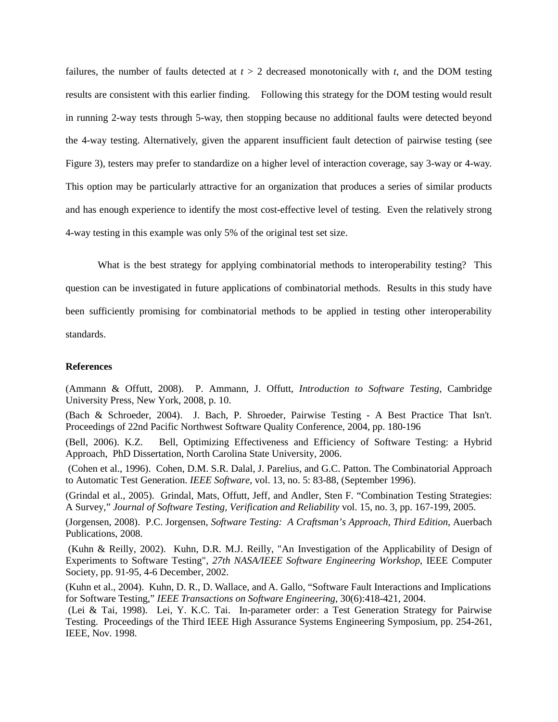failures, the number of faults detected at  $t > 2$  decreased monotonically with  $t$ , and the DOM testing results are consistent with this earlier finding. Following this strategy for the DOM testing would result in running 2-way tests through 5-way, then stopping because no additional faults were detected beyond the 4-way testing. Alternatively, given the apparent insufficient fault detection of pairwise testing (see Figure 3), testers may prefer to standardize on a higher level of interaction coverage, say 3-way or 4-way. This option may be particularly attractive for an organization that produces a series of similar products and has enough experience to identify the most cost-effective level of testing. Even the relatively strong 4-way testing in this example was only 5% of the original test set size.

 What is the best strategy for applying combinatorial methods to interoperability testing? This question can be investigated in future applications of combinatorial methods. Results in this study have been sufficiently promising for combinatorial methods to be applied in testing other interoperability standards.

## **References**

 (Ammann & Offutt, 2008). P. Ammann, J. Offutt, *Introduction to Software Testing*, Cambridge University Press, New York, 2008, p. 10.

 (Bach & Schroeder, 2004). J. Bach, P. Shroeder, Pairwise Testing - A Best Practice That Isn't. Proceedings of 22nd Pacific Northwest Software Quality Conference, 2004, pp. 180-196

(Bell, 2006). K.Z. Approach, PhD Dissertation, North Carolina State University, 2006. Bell, Optimizing Effectiveness and Efficiency of Software Testing: a Hybrid

 (Cohen et al., 1996). Cohen, D.M. S.R. Dalal, J. Parelius, and G.C. Patton. The Combinatorial Approach to Automatic Test Generation. *IEEE Software*, vol. 13, no. 5: 83-88, (September 1996).

 (Grindal et al., 2005). Grindal, Mats, Offutt, Jeff, and Andler, Sten F. "Combination Testing Strategies: A Survey," *Journal of Software Testing, Verification and Reliability* vol. 15, no. 3, pp. 167-199, 2005.

 (Jorgensen, 2008). P.C. Jorgensen, *Software Testing: A Craftsman's Approach, Third Edition*, Auerbach Publications, 2008.

 (Kuhn & Reilly, 2002). Kuhn, D.R. M.J. Reilly, "An Investigation of the Applicability of Design of Experiments to Software Testing", *27th NASA/IEEE Software Engineering Workshop*, IEEE Computer Society, pp. 91-95, 4-6 December, 2002.

 (Kuhn et al., 2004). Kuhn, D. R., D. Wallace, and A. Gallo, "Software Fault Interactions and Implications for Software Testing," *IEEE Transactions on Software Engineering*, 30(6):418-421, 2004.

 (Lei & Tai, 1998). Lei, Y. K.C. Tai. In-parameter order: a Test Generation Strategy for Pairwise Testing. Proceedings of the Third IEEE High Assurance Systems Engineering Symposium, pp. 254-261, IEEE, Nov. 1998.